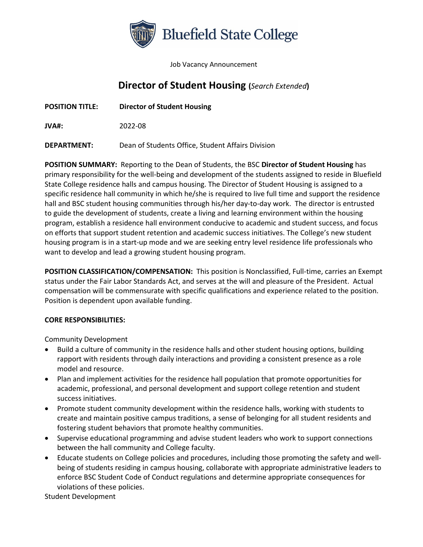

Job Vacancy Announcement

## **Director of Student Housing (***Search Extended***)**

**POSITION TITLE: Director of Student Housing**

**JVA#:** 2022-08

**DEPARTMENT:** Dean of Students Office, Student Affairs Division

**POSITION SUMMARY:** Reporting to the Dean of Students, the BSC **Director of Student Housing** has primary responsibility for the well-being and development of the students assigned to reside in Bluefield State College residence halls and campus housing. The Director of Student Housing is assigned to a specific residence hall community in which he/she is required to live full time and support the residence hall and BSC student housing communities through his/her day-to-day work. The director is entrusted to guide the development of students, create a living and learning environment within the housing program, establish a residence hall environment conducive to academic and student success, and focus on efforts that support student retention and academic success initiatives. The College's new student housing program is in a start-up mode and we are seeking entry level residence life professionals who want to develop and lead a growing student housing program.

**POSITION CLASSIFICATION/COMPENSATION:** This position is Nonclassified, Full-time, carries an Exempt status under the Fair Labor Standards Act, and serves at the will and pleasure of the President. Actual compensation will be commensurate with specific qualifications and experience related to the position. Position is dependent upon available funding.

## **CORE RESPONSIBILITIES:**

Community Development

- Build a culture of community in the residence halls and other student housing options, building rapport with residents through daily interactions and providing a consistent presence as a role model and resource.
- Plan and implement activities for the residence hall population that promote opportunities for academic, professional, and personal development and support college retention and student success initiatives.
- Promote student community development within the residence halls, working with students to create and maintain positive campus traditions, a sense of belonging for all student residents and fostering student behaviors that promote healthy communities.
- Supervise educational programming and advise student leaders who work to support connections between the hall community and College faculty.
- Educate students on College policies and procedures, including those promoting the safety and wellbeing of students residing in campus housing, collaborate with appropriate administrative leaders to enforce BSC Student Code of Conduct regulations and determine appropriate consequences for violations of these policies.

Student Development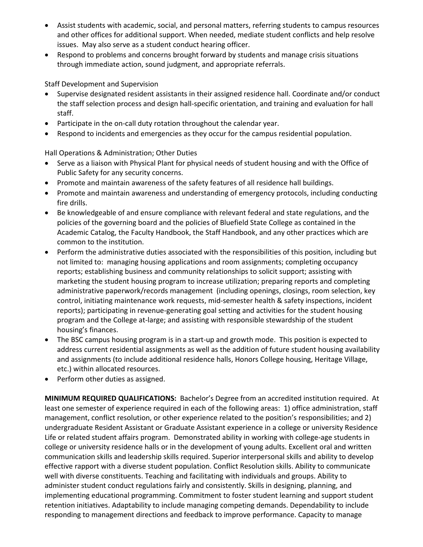- Assist students with academic, social, and personal matters, referring students to campus resources and other offices for additional support. When needed, mediate student conflicts and help resolve issues. May also serve as a student conduct hearing officer.
- Respond to problems and concerns brought forward by students and manage crisis situations through immediate action, sound judgment, and appropriate referrals.

Staff Development and Supervision

- Supervise designated resident assistants in their assigned residence hall. Coordinate and/or conduct the staff selection process and design hall-specific orientation, and training and evaluation for hall staff.
- Participate in the on-call duty rotation throughout the calendar year.
- Respond to incidents and emergencies as they occur for the campus residential population.

Hall Operations & Administration; Other Duties

- Serve as a liaison with Physical Plant for physical needs of student housing and with the Office of Public Safety for any security concerns.
- Promote and maintain awareness of the safety features of all residence hall buildings.
- Promote and maintain awareness and understanding of emergency protocols, including conducting fire drills.
- Be knowledgeable of and ensure compliance with relevant federal and state regulations, and the policies of the governing board and the policies of Bluefield State College as contained in the Academic Catalog, the Faculty Handbook, the Staff Handbook, and any other practices which are common to the institution.
- Perform the administrative duties associated with the responsibilities of this position, including but not limited to: managing housing applications and room assignments; completing occupancy reports; establishing business and community relationships to solicit support; assisting with marketing the student housing program to increase utilization; preparing reports and completing administrative paperwork/records management (including openings, closings, room selection, key control, initiating maintenance work requests, mid-semester health & safety inspections, incident reports); participating in revenue-generating goal setting and activities for the student housing program and the College at-large; and assisting with responsible stewardship of the student housing's finances.
- The BSC campus housing program is in a start-up and growth mode. This position is expected to address current residential assignments as well as the addition of future student housing availability and assignments (to include additional residence halls, Honors College housing, Heritage Village, etc.) within allocated resources.
- Perform other duties as assigned.

**MINIMUM REQUIRED QUALIFICATIONS:** Bachelor's Degree from an accredited institution required. At least one semester of experience required in each of the following areas: 1) office administration, staff management, conflict resolution, or other experience related to the position's responsibilities; and 2) undergraduate Resident Assistant or Graduate Assistant experience in a college or university Residence Life or related student affairs program. Demonstrated ability in working with college-age students in college or university residence halls or in the development of young adults. Excellent oral and written communication skills and leadership skills required. Superior interpersonal skills and ability to develop effective rapport with a diverse student population. Conflict Resolution skills. Ability to communicate well with diverse constituents. Teaching and facilitating with individuals and groups. Ability to administer student conduct regulations fairly and consistently. Skills in designing, planning, and implementing educational programming. Commitment to foster student learning and support student retention initiatives. Adaptability to include managing competing demands. Dependability to include responding to management directions and feedback to improve performance. Capacity to manage